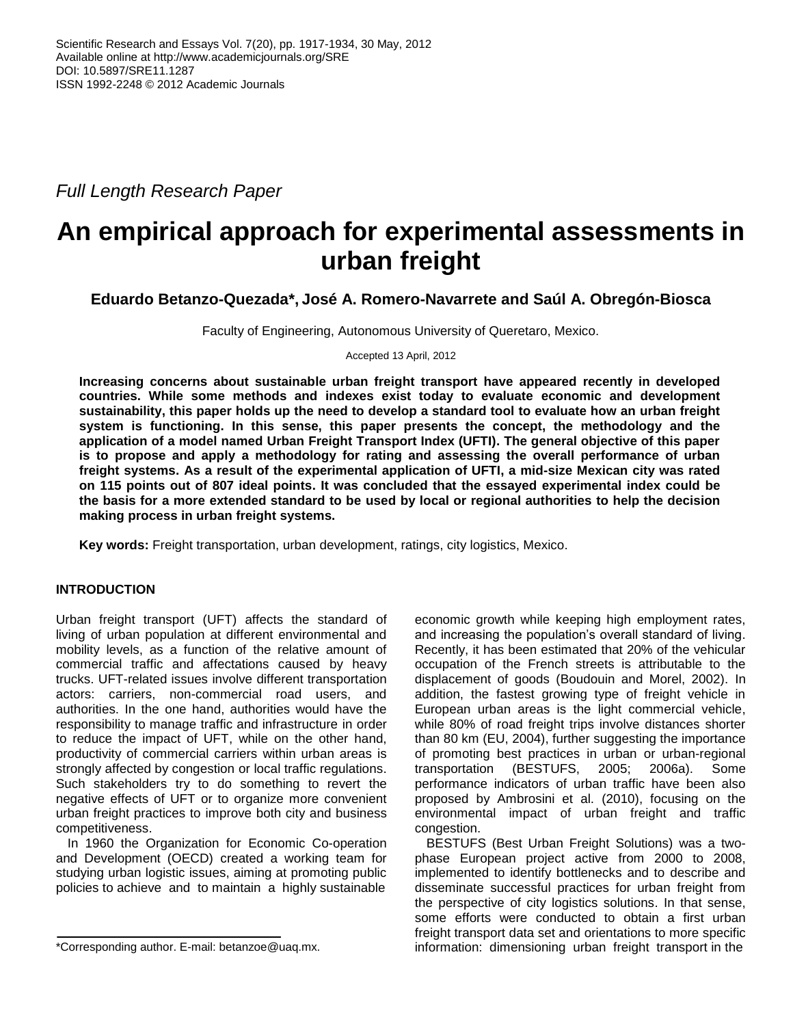*Full Length Research Paper*

# **An empirical approach for experimental assessments in urban freight**

**Eduardo Betanzo-Quezada\*, José A. Romero-Navarrete and Saúl A. Obregón-Biosca**

Faculty of Engineering, Autonomous University of Queretaro, Mexico.

Accepted 13 April, 2012

**Increasing concerns about sustainable urban freight transport have appeared recently in developed countries. While some methods and indexes exist today to evaluate economic and development sustainability, this paper holds up the need to develop a standard tool to evaluate how an urban freight system is functioning. In this sense, this paper presents the concept, the methodology and the application of a model named Urban Freight Transport Index (UFTI). The general objective of this paper is to propose and apply a methodology for rating and assessing the overall performance of urban freight systems. As a result of the experimental application of UFTI, a mid-size Mexican city was rated on 115 points out of 807 ideal points. It was concluded that the essayed experimental index could be the basis for a more extended standard to be used by local or regional authorities to help the decision making process in urban freight systems.**

**Key words:** Freight transportation, urban development, ratings, city logistics, Mexico.

# **INTRODUCTION**

Urban freight transport (UFT) affects the standard of living of urban population at different environmental and mobility levels, as a function of the relative amount of commercial traffic and affectations caused by heavy trucks. UFT-related issues involve different transportation actors: carriers, non-commercial road users, and authorities. In the one hand, authorities would have the responsibility to manage traffic and infrastructure in order to reduce the impact of UFT, while on the other hand, productivity of commercial carriers within urban areas is strongly affected by congestion or local traffic regulations. Such stakeholders try to do something to revert the negative effects of UFT or to organize more convenient urban freight practices to improve both city and business competitiveness.

In 1960 the Organization for Economic Co-operation and Development (OECD) created a working team for studying urban logistic issues, aiming at promoting public policies to achieve and to maintain a highly sustainable

economic growth while keeping high employment rates, and increasing the population's overall standard of living. Recently, it has been estimated that 20% of the vehicular occupation of the French streets is attributable to the displacement of goods (Boudouin and Morel, 2002). In addition, the fastest growing type of freight vehicle in European urban areas is the light commercial vehicle, while 80% of road freight trips involve distances shorter than 80 km (EU, 2004), further suggesting the importance of promoting best practices in urban or urban-regional transportation (BESTUFS, 2005; 2006a). Some performance indicators of urban traffic have been also proposed by Ambrosini et al. (2010), focusing on the environmental impact of urban freight and traffic congestion.

BESTUFS (Best Urban Freight Solutions) was a twophase European project active from 2000 to 2008, implemented to identify bottlenecks and to describe and disseminate successful practices for urban freight from the perspective of city logistics solutions. In that sense, some efforts were conducted to obtain a first urban freight transport data set and orientations to more specific information: dimensioning urban freight transport in the

<sup>\*</sup>Corresponding author. E-mail: betanzoe@uaq.mx.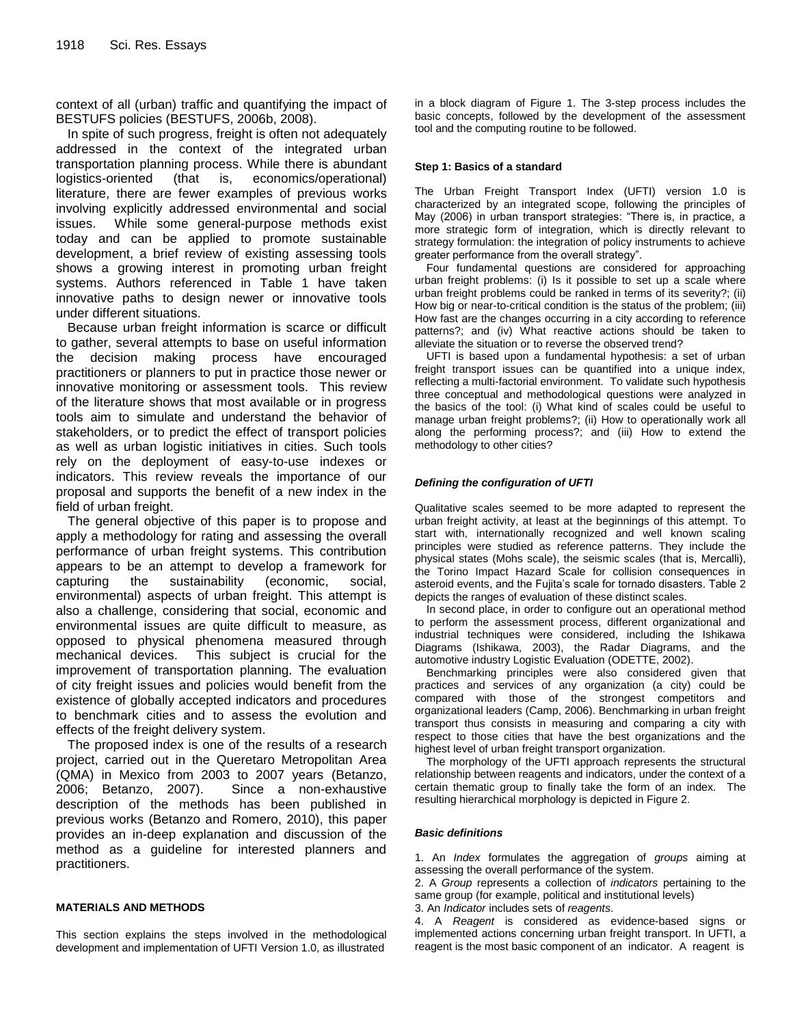context of all (urban) traffic and quantifying the impact of BESTUFS policies (BESTUFS, 2006b, 2008).

In spite of such progress, freight is often not adequately addressed in the context of the integrated urban transportation planning process. While there is abundant logistics-oriented (that is, economics/operational) (that is, economics/operational) literature, there are fewer examples of previous works involving explicitly addressed environmental and social issues. While some general-purpose methods exist today and can be applied to promote sustainable development, a brief review of existing assessing tools shows a growing interest in promoting urban freight systems. Authors referenced in Table 1 have taken innovative paths to design newer or innovative tools under different situations.

Because urban freight information is scarce or difficult to gather, several attempts to base on useful information the decision making process have encouraged practitioners or planners to put in practice those newer or innovative monitoring or assessment tools. This review of the literature shows that most available or in progress tools aim to simulate and understand the behavior of stakeholders, or to predict the effect of transport policies as well as urban logistic initiatives in cities. Such tools rely on the deployment of easy-to-use indexes or indicators. This review reveals the importance of our proposal and supports the benefit of a new index in the field of urban freight.

The general objective of this paper is to propose and apply a methodology for rating and assessing the overall performance of urban freight systems. This contribution appears to be an attempt to develop a framework for capturing the sustainability (economic, social, environmental) aspects of urban freight. This attempt is also a challenge, considering that social, economic and environmental issues are quite difficult to measure, as opposed to physical phenomena measured through mechanical devices.This subject is crucial for the improvement of transportation planning. The evaluation of city freight issues and policies would benefit from the existence of globally accepted indicators and procedures to benchmark cities and to assess the evolution and effects of the freight delivery system.

The proposed index is one of the results of a research project, carried out in the Queretaro Metropolitan Area (QMA) in Mexico from 2003 to 2007 years (Betanzo, 2006; Betanzo, 2007). Since a non-exhaustive description of the methods has been published in previous works (Betanzo and Romero, 2010), this paper provides an in-deep explanation and discussion of the method as a guideline for interested planners and practitioners.

## **MATERIALS AND METHODS**

This section explains the steps involved in the methodological development and implementation of UFTI Version 1.0, as illustrated

in a block diagram of Figure 1. The 3-step process includes the basic concepts, followed by the development of the assessment tool and the computing routine to be followed.

## **Step 1: Basics of a standard**

The Urban Freight Transport Index (UFTI) version 1.0 is characterized by an integrated scope, following the principles of May (2006) in urban transport strategies: "There is, in practice, a more strategic form of integration, which is directly relevant to strategy formulation: the integration of policy instruments to achieve greater performance from the overall strategy".

Four fundamental questions are considered for approaching urban freight problems: (i) Is it possible to set up a scale where urban freight problems could be ranked in terms of its severity?; (ii) How big or near-to-critical condition is the status of the problem; (iii) How fast are the changes occurring in a city according to reference patterns?; and (iv) What reactive actions should be taken to alleviate the situation or to reverse the observed trend?

UFTI is based upon a fundamental hypothesis: a set of urban freight transport issues can be quantified into a unique index, reflecting a multi-factorial environment. To validate such hypothesis three conceptual and methodological questions were analyzed in the basics of the tool: (i) What kind of scales could be useful to manage urban freight problems?; (ii) How to operationally work all along the performing process?; and (iii) How to extend the methodology to other cities?

## *Defining the configuration of UFTI*

Qualitative scales seemed to be more adapted to represent the urban freight activity, at least at the beginnings of this attempt. To start with, internationally recognized and well known scaling principles were studied as reference patterns. They include the physical states (Mohs scale), the seismic scales (that is, Mercalli), the Torino Impact Hazard Scale for collision consequences in asteroid events, and the Fujita's scale for tornado disasters. Table 2 depicts the ranges of evaluation of these distinct scales.

In second place, in order to configure out an operational method to perform the assessment process, different organizational and industrial techniques were considered, including the Ishikawa Diagrams (Ishikawa, 2003), the Radar Diagrams, and the automotive industry Logistic Evaluation (ODETTE, 2002).

Benchmarking principles were also considered given that practices and services of any organization (a city) could be compared with those of the strongest competitors and organizational leaders (Camp, 2006). Benchmarking in urban freight transport thus consists in measuring and comparing a city with respect to those cities that have the best organizations and the highest level of urban freight transport organization.

The morphology of the UFTI approach represents the structural relationship between reagents and indicators, under the context of a certain thematic group to finally take the form of an index. The resulting hierarchical morphology is depicted in Figure 2.

## *Basic definitions*

1. An *Index* formulates the aggregation of *groups* aiming at assessing the overall performance of the system.

2. A *Group* represents a collection of *indicators* pertaining to the same group (for example, political and institutional levels)

3. An *Indicator* includes sets of *reagents*.

4. A *Reagent* is considered as evidence-based signs or implemented actions concerning urban freight transport. In UFTI, a reagent is the most basic component of an indicator. A reagent is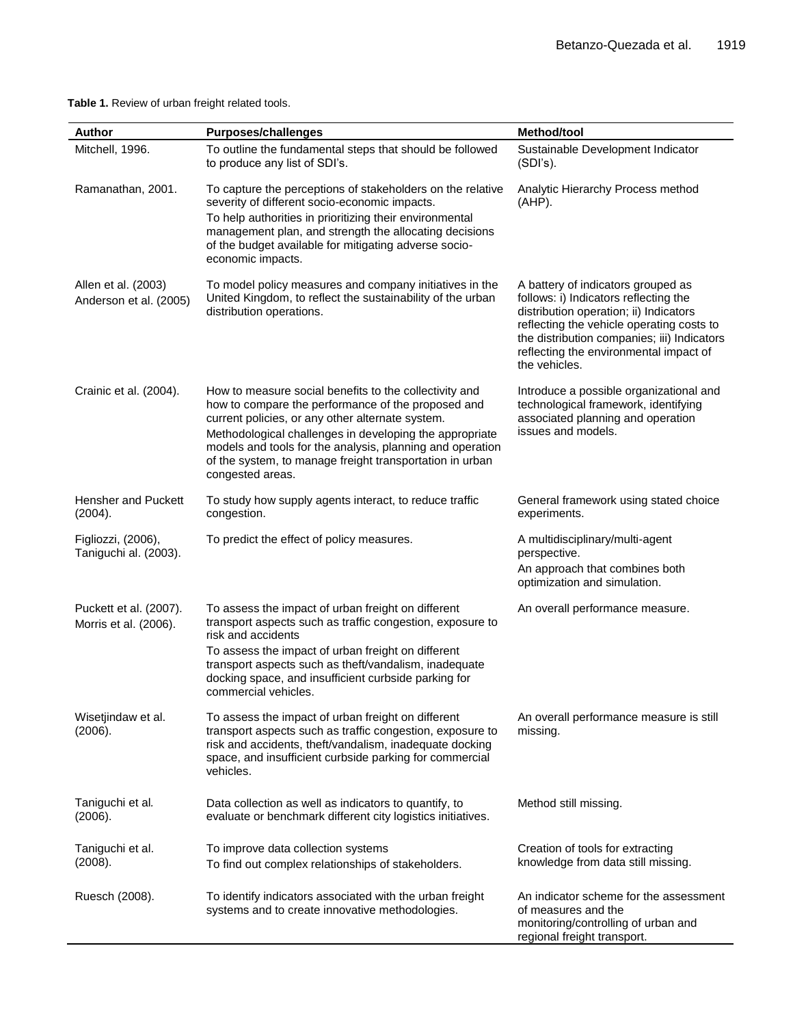# **Table 1.** Review of urban freight related tools.

| Author                                          | <b>Purposes/challenges</b>                                                                                                                                                                                                                                                                                                                                               | Method/tool                                                                                                                                                                                                                                                                  |
|-------------------------------------------------|--------------------------------------------------------------------------------------------------------------------------------------------------------------------------------------------------------------------------------------------------------------------------------------------------------------------------------------------------------------------------|------------------------------------------------------------------------------------------------------------------------------------------------------------------------------------------------------------------------------------------------------------------------------|
| Mitchell, 1996.                                 | To outline the fundamental steps that should be followed<br>to produce any list of SDI's.                                                                                                                                                                                                                                                                                | Sustainable Development Indicator<br>$(SDI's)$ .                                                                                                                                                                                                                             |
| Ramanathan, 2001.                               | To capture the perceptions of stakeholders on the relative<br>severity of different socio-economic impacts.<br>To help authorities in prioritizing their environmental<br>management plan, and strength the allocating decisions<br>of the budget available for mitigating adverse socio-<br>economic impacts.                                                           | Analytic Hierarchy Process method<br>(AHP).                                                                                                                                                                                                                                  |
| Allen et al. (2003)<br>Anderson et al. (2005)   | To model policy measures and company initiatives in the<br>United Kingdom, to reflect the sustainability of the urban<br>distribution operations.                                                                                                                                                                                                                        | A battery of indicators grouped as<br>follows: i) Indicators reflecting the<br>distribution operation; ii) Indicators<br>reflecting the vehicle operating costs to<br>the distribution companies; iii) Indicators<br>reflecting the environmental impact of<br>the vehicles. |
| Crainic et al. (2004).                          | How to measure social benefits to the collectivity and<br>how to compare the performance of the proposed and<br>current policies, or any other alternate system.<br>Methodological challenges in developing the appropriate<br>models and tools for the analysis, planning and operation<br>of the system, to manage freight transportation in urban<br>congested areas. | Introduce a possible organizational and<br>technological framework, identifying<br>associated planning and operation<br>issues and models.                                                                                                                                   |
| Hensher and Puckett<br>(2004).                  | To study how supply agents interact, to reduce traffic<br>congestion.                                                                                                                                                                                                                                                                                                    | General framework using stated choice<br>experiments.                                                                                                                                                                                                                        |
| Figliozzi, (2006),<br>Taniguchi al. (2003).     | To predict the effect of policy measures.                                                                                                                                                                                                                                                                                                                                | A multidisciplinary/multi-agent<br>perspective.<br>An approach that combines both                                                                                                                                                                                            |
|                                                 |                                                                                                                                                                                                                                                                                                                                                                          | optimization and simulation.                                                                                                                                                                                                                                                 |
| Puckett et al. (2007).<br>Morris et al. (2006). | To assess the impact of urban freight on different<br>transport aspects such as traffic congestion, exposure to<br>risk and accidents                                                                                                                                                                                                                                    | An overall performance measure.                                                                                                                                                                                                                                              |
|                                                 | To assess the impact of urban freight on different<br>transport aspects such as theft/vandalism, inadequate<br>docking space, and insufficient curbside parking for<br>commercial vehicles.                                                                                                                                                                              |                                                                                                                                                                                                                                                                              |
| Wisetjindaw et al.<br>(2006).                   | To assess the impact of urban freight on different<br>transport aspects such as traffic congestion, exposure to<br>risk and accidents, theft/vandalism, inadequate docking<br>space, and insufficient curbside parking for commercial<br>vehicles.                                                                                                                       | An overall performance measure is still<br>missing.                                                                                                                                                                                                                          |
| Taniguchi et al.<br>(2006).                     | Data collection as well as indicators to quantify, to<br>evaluate or benchmark different city logistics initiatives.                                                                                                                                                                                                                                                     | Method still missing.                                                                                                                                                                                                                                                        |
| Taniguchi et al.<br>(2008).                     | To improve data collection systems<br>To find out complex relationships of stakeholders.                                                                                                                                                                                                                                                                                 | Creation of tools for extracting<br>knowledge from data still missing.                                                                                                                                                                                                       |
| Ruesch (2008).                                  | To identify indicators associated with the urban freight<br>systems and to create innovative methodologies.                                                                                                                                                                                                                                                              | An indicator scheme for the assessment<br>of measures and the<br>monitoring/controlling of urban and<br>regional freight transport.                                                                                                                                          |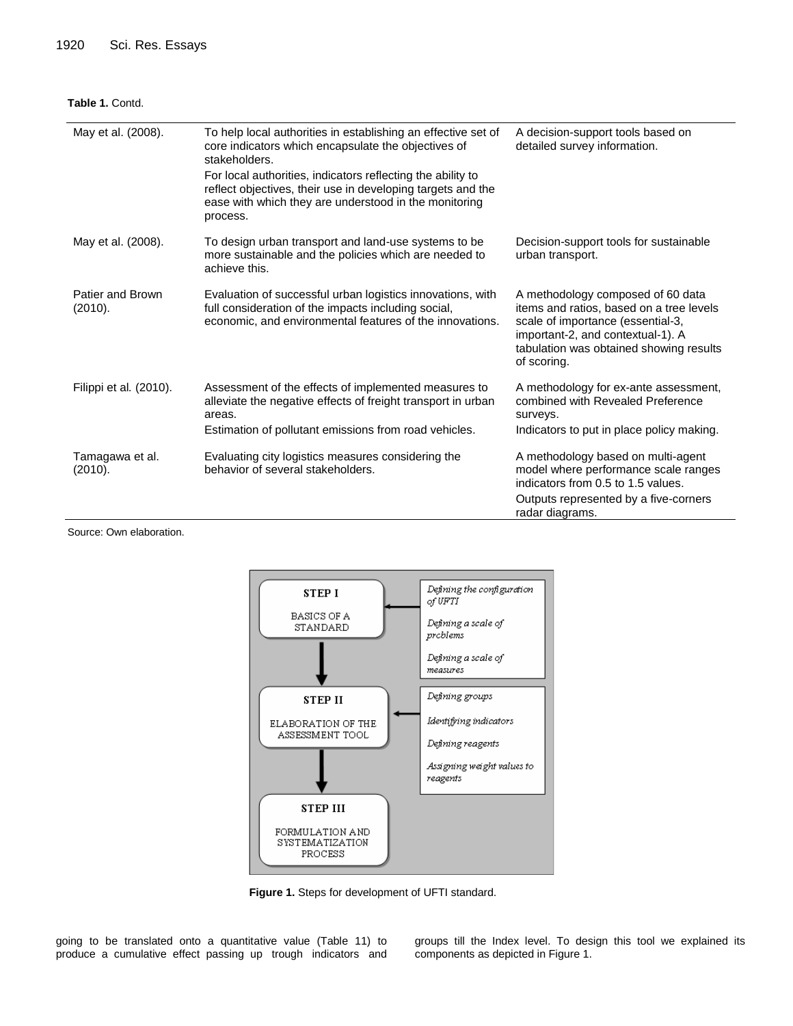## **Table 1.** Contd.

| May et al. (2008).          | To help local authorities in establishing an effective set of<br>core indicators which encapsulate the objectives of<br>stakeholders.<br>For local authorities, indicators reflecting the ability to<br>reflect objectives, their use in developing targets and the<br>ease with which they are understood in the monitoring | A decision-support tools based on<br>detailed survey information.                                                                                                                                                 |
|-----------------------------|------------------------------------------------------------------------------------------------------------------------------------------------------------------------------------------------------------------------------------------------------------------------------------------------------------------------------|-------------------------------------------------------------------------------------------------------------------------------------------------------------------------------------------------------------------|
|                             | process.                                                                                                                                                                                                                                                                                                                     |                                                                                                                                                                                                                   |
| May et al. (2008).          | To design urban transport and land-use systems to be<br>more sustainable and the policies which are needed to<br>achieve this.                                                                                                                                                                                               | Decision-support tools for sustainable<br>urban transport.                                                                                                                                                        |
| Patier and Brown<br>(2010). | Evaluation of successful urban logistics innovations, with<br>full consideration of the impacts including social,<br>economic, and environmental features of the innovations.                                                                                                                                                | A methodology composed of 60 data<br>items and ratios, based on a tree levels<br>scale of importance (essential-3,<br>important-2, and contextual-1). A<br>tabulation was obtained showing results<br>of scoring. |
| Filippi et al. (2010).      | Assessment of the effects of implemented measures to<br>alleviate the negative effects of freight transport in urban<br>areas.                                                                                                                                                                                               | A methodology for ex-ante assessment,<br>combined with Revealed Preference<br>surveys.                                                                                                                            |
|                             | Estimation of pollutant emissions from road vehicles.                                                                                                                                                                                                                                                                        | Indicators to put in place policy making.                                                                                                                                                                         |
| Tamagawa et al.<br>(2010).  | Evaluating city logistics measures considering the<br>behavior of several stakeholders.                                                                                                                                                                                                                                      | A methodology based on multi-agent<br>model where performance scale ranges<br>indicators from 0.5 to 1.5 values.                                                                                                  |
|                             |                                                                                                                                                                                                                                                                                                                              | Outputs represented by a five-corners<br>radar diagrams.                                                                                                                                                          |

Source: Own elaboration.



**Figure 1.** Steps for development of UFTI standard.

going to be translated onto a quantitative value (Table 11) to produce a cumulative effect passing up trough indicators and

groups till the Index level. To design this tool we explained its components as depicted in Figure 1.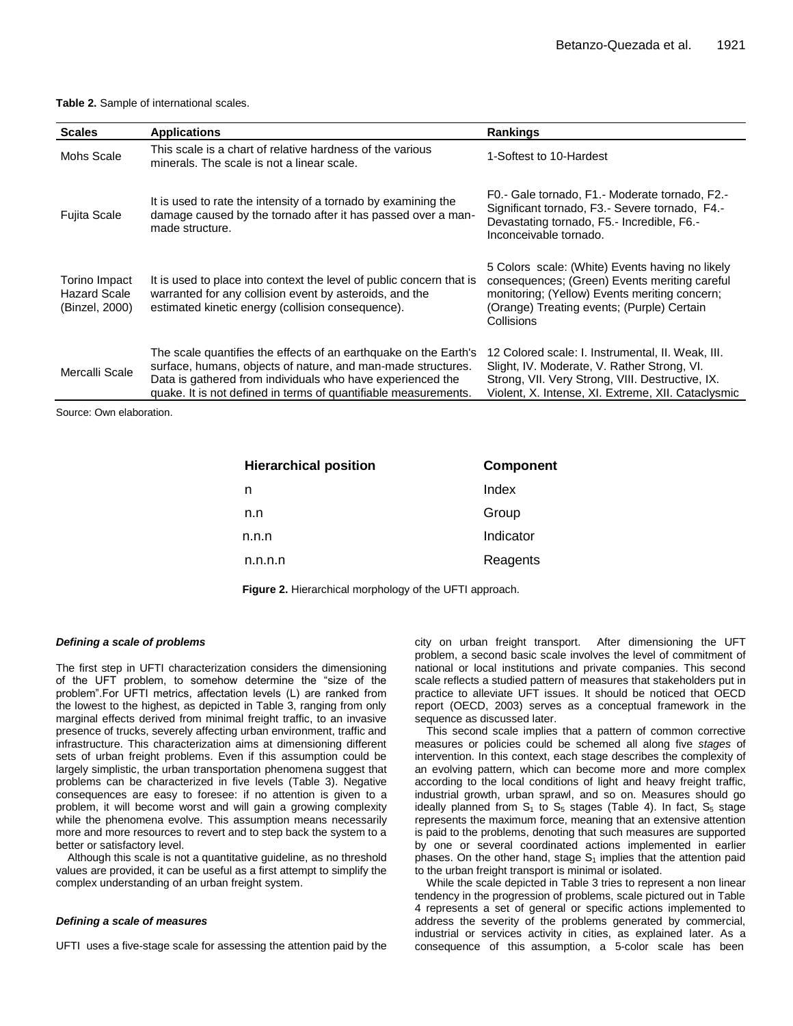**Table 2.** Sample of international scales.

| <b>Scales</b>                                          | <b>Applications</b>                                                                                                                                                                                                                                               | <b>Rankings</b>                                                                                                                                                                                               |
|--------------------------------------------------------|-------------------------------------------------------------------------------------------------------------------------------------------------------------------------------------------------------------------------------------------------------------------|---------------------------------------------------------------------------------------------------------------------------------------------------------------------------------------------------------------|
| Mohs Scale                                             | This scale is a chart of relative hardness of the various<br>minerals. The scale is not a linear scale.                                                                                                                                                           | 1-Softest to 10-Hardest                                                                                                                                                                                       |
| <b>Fujita Scale</b>                                    | It is used to rate the intensity of a tornado by examining the<br>damage caused by the tornado after it has passed over a man-<br>made structure.                                                                                                                 | F0.- Gale tornado, F1.- Moderate tornado, F2.-<br>Significant tornado, F3.- Severe tornado, F4.-<br>Devastating tornado, F5.- Incredible, F6.-<br>Inconceivable tornado.                                      |
| Torino Impact<br><b>Hazard Scale</b><br>(Binzel, 2000) | It is used to place into context the level of public concern that is<br>warranted for any collision event by asteroids, and the<br>estimated kinetic energy (collision consequence).                                                                              | 5 Colors scale: (White) Events having no likely<br>consequences; (Green) Events meriting careful<br>monitoring; (Yellow) Events meriting concern;<br>(Orange) Treating events; (Purple) Certain<br>Collisions |
| Mercalli Scale                                         | The scale quantifies the effects of an earthquake on the Earth's<br>surface, humans, objects of nature, and man-made structures.<br>Data is gathered from individuals who have experienced the<br>quake. It is not defined in terms of quantifiable measurements. | 12 Colored scale: I. Instrumental, II. Weak, III.<br>Slight, IV. Moderate, V. Rather Strong, VI.<br>Strong, VII. Very Strong, VIII. Destructive, IX.<br>Violent, X. Intense, XI. Extreme, XII. Cataclysmic    |

Source: Own elaboration.

| <b>Hierarchical position</b> | Component |
|------------------------------|-----------|
| n                            | Index     |
| n.n                          | Group     |
| n.n.n                        | Indicator |
| n.n.n.n                      | Reagents  |
|                              |           |

**Figure 2.** Hierarchical morphology of the UFTI approach.

#### *Defining a scale of problems*

The first step in UFTI characterization considers the dimensioning of the UFT problem, to somehow determine the "size of the problem".For UFTI metrics, affectation levels (L) are ranked from the lowest to the highest, as depicted in Table 3, ranging from only marginal effects derived from minimal freight traffic, to an invasive presence of trucks, severely affecting urban environment, traffic and infrastructure. This characterization aims at dimensioning different sets of urban freight problems. Even if this assumption could be largely simplistic, the urban transportation phenomena suggest that problems can be characterized in five levels (Table 3). Negative consequences are easy to foresee: if no attention is given to a problem, it will become worst and will gain a growing complexity while the phenomena evolve. This assumption means necessarily more and more resources to revert and to step back the system to a better or satisfactory level.

Although this scale is not a quantitative guideline, as no threshold values are provided, it can be useful as a first attempt to simplify the complex understanding of an urban freight system.

## *Defining a scale of measures*

UFTI uses a five-stage scale for assessing the attention paid by the

city on urban freight transport. After dimensioning the UFT problem, a second basic scale involves the level of commitment of national or local institutions and private companies. This second scale reflects a studied pattern of measures that stakeholders put in practice to alleviate UFT issues. It should be noticed that OECD report (OECD, 2003) serves as a conceptual framework in the sequence as discussed later.

This second scale implies that a pattern of common corrective measures or policies could be schemed all along five *stages* of intervention. In this context, each stage describes the complexity of an evolving pattern, which can become more and more complex according to the local conditions of light and heavy freight traffic, industrial growth, urban sprawl, and so on. Measures should go ideally planned from  $S_1$  to  $S_5$  stages (Table 4). In fact,  $S_5$  stage represents the maximum force, meaning that an extensive attention is paid to the problems, denoting that such measures are supported by one or several coordinated actions implemented in earlier phases. On the other hand, stage  $S_1$  implies that the attention paid to the urban freight transport is minimal or isolated.

While the scale depicted in Table 3 tries to represent a non linear tendency in the progression of problems, scale pictured out in Table 4 represents a set of general or specific actions implemented to address the severity of the problems generated by commercial, industrial or services activity in cities, as explained later. As a consequence of this assumption, a 5-color scale has been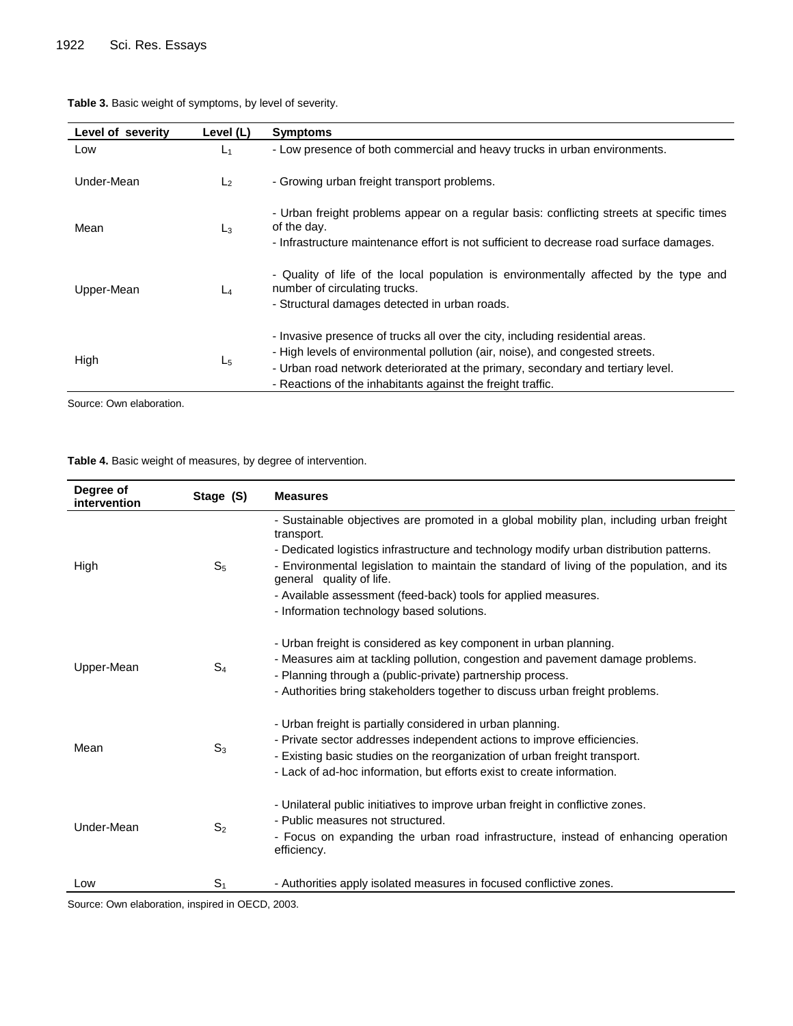| Table 3. Basic weight of symptoms, by level of severity. |  |  |  |  |  |
|----------------------------------------------------------|--|--|--|--|--|
|----------------------------------------------------------|--|--|--|--|--|

| Level of severity | Level (L)      | <b>Symptoms</b>                                                                                                        |
|-------------------|----------------|------------------------------------------------------------------------------------------------------------------------|
| Low               | $L_1$          | - Low presence of both commercial and heavy trucks in urban environments.                                              |
| Under-Mean        | L <sub>2</sub> | - Growing urban freight transport problems.                                                                            |
| Mean              | $L_3$          | - Urban freight problems appear on a regular basis: conflicting streets at specific times<br>of the day.               |
|                   |                | - Infrastructure maintenance effort is not sufficient to decrease road surface damages.                                |
| Upper-Mean        | L <sub>4</sub> | - Quality of life of the local population is environmentally affected by the type and<br>number of circulating trucks. |
|                   |                | - Structural damages detected in urban roads.                                                                          |
|                   |                | - Invasive presence of trucks all over the city, including residential areas.                                          |
|                   |                | - High levels of environmental pollution (air, noise), and congested streets.                                          |
| High              | $L_5$          | - Urban road network deteriorated at the primary, secondary and tertiary level.                                        |
|                   |                | - Reactions of the inhabitants against the freight traffic.                                                            |

Source: Own elaboration.

**Table 4.** Basic weight of measures, by degree of intervention.

| Degree of<br>intervention | Stage (S)      | <b>Measures</b>                                                                                                                                                                                                                                                                                                                                                                                                                           |
|---------------------------|----------------|-------------------------------------------------------------------------------------------------------------------------------------------------------------------------------------------------------------------------------------------------------------------------------------------------------------------------------------------------------------------------------------------------------------------------------------------|
| High                      | S <sub>5</sub> | - Sustainable objectives are promoted in a global mobility plan, including urban freight<br>transport.<br>- Dedicated logistics infrastructure and technology modify urban distribution patterns.<br>- Environmental legislation to maintain the standard of living of the population, and its<br>general quality of life.<br>- Available assessment (feed-back) tools for applied measures.<br>- Information technology based solutions. |
| Upper-Mean                | $S_4$          | - Urban freight is considered as key component in urban planning.<br>- Measures aim at tackling pollution, congestion and pavement damage problems.<br>- Planning through a (public-private) partnership process.<br>- Authorities bring stakeholders together to discuss urban freight problems.                                                                                                                                         |
| Mean                      | S <sub>3</sub> | - Urban freight is partially considered in urban planning.<br>- Private sector addresses independent actions to improve efficiencies.<br>- Existing basic studies on the reorganization of urban freight transport.<br>- Lack of ad-hoc information, but efforts exist to create information.                                                                                                                                             |
| Under-Mean                | S <sub>2</sub> | - Unilateral public initiatives to improve urban freight in conflictive zones.<br>- Public measures not structured.<br>- Focus on expanding the urban road infrastructure, instead of enhancing operation<br>efficiency.                                                                                                                                                                                                                  |
| Low                       | S <sub>1</sub> | - Authorities apply isolated measures in focused conflictive zones.                                                                                                                                                                                                                                                                                                                                                                       |

Source: Own elaboration, inspired in OECD, 2003.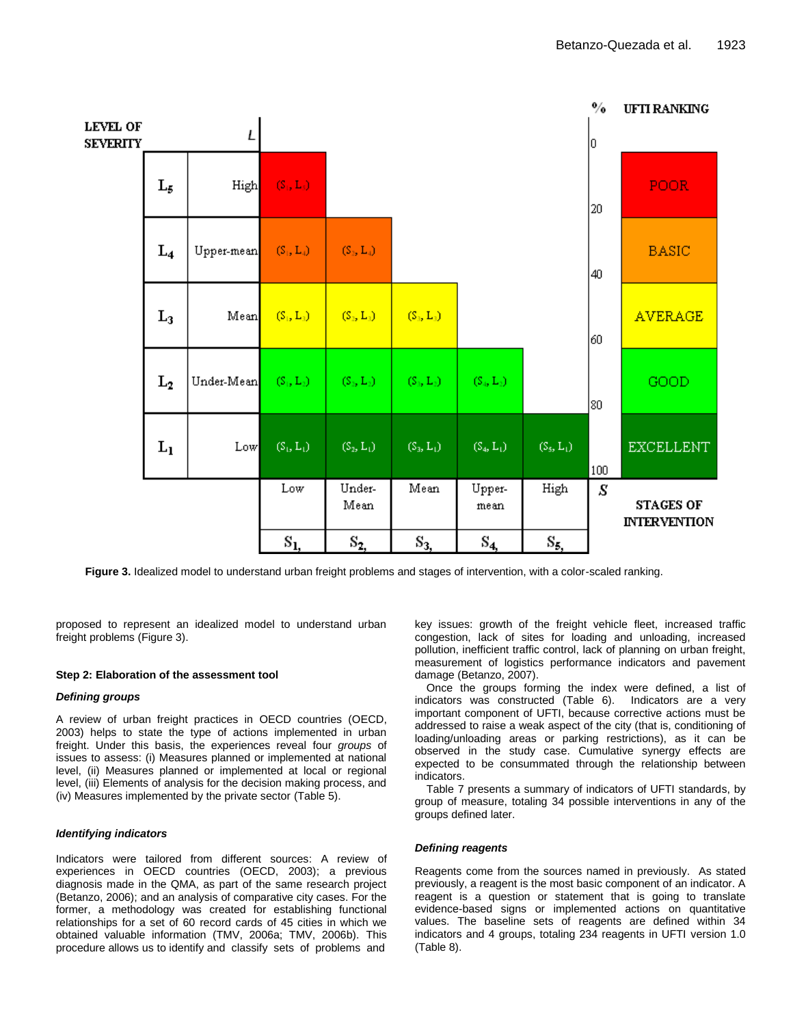|                                    |                |            |                               |                               |              |                                |                               | $\frac{9}{6}$    | UFTI RANKING                            |
|------------------------------------|----------------|------------|-------------------------------|-------------------------------|--------------|--------------------------------|-------------------------------|------------------|-----------------------------------------|
| <b>LEVEL OF</b><br><b>SEVERITY</b> |                | L          |                               |                               |              |                                |                               | JО               |                                         |
|                                    | L <sub>5</sub> | High       | $(S_1, L_3)$                  |                               |              |                                |                               | 20               | <b>POOR</b>                             |
|                                    | $L_4$          | Upper-mean | $(S_1, L_4)$                  | $(\mathsf{S}_2,\mathsf{L}_4)$ |              |                                |                               | 40               | <b>BASIC</b>                            |
|                                    | $\mathbf{L_3}$ | Mean       | $(S_1, L_3)$                  | $(S_2, L_3)$                  | $(S_3, L_3)$ |                                |                               | 60               | <b>AVERAGE</b>                          |
|                                    | $L_2$          | Under-Mean | $(S_1, L_2)$                  | $(S_2, L_2)$                  | $(S_3, L_2)$ | $(S_4, L_2)$                   |                               | 80               | GOOD                                    |
|                                    | $L_1$          | Low        | $(\mathbb{S}_1,\mathbb{L}_1)$ | $(S_2, L_1)$                  | $(S_3, L_1)$ | $(\mathbb{S}_4, \mathbb{L}_1)$ | $(\mathbb{S}_5,\mathbb{L}_1)$ | 100              | <b>EXCELLENT</b>                        |
|                                    |                |            | Low                           | Under-<br>Mean                | Mean         | Upper-<br>mean                 | High                          | $\boldsymbol{S}$ | <b>STAGES OF</b><br><b>INTERVENTION</b> |
|                                    |                |            | Sı,                           | $S_2$                         | $S_3$        | S4,                            | S.,                           |                  |                                         |

**Figure 3.** Idealized model to understand urban freight problems and stages of intervention, with a color-scaled ranking.

proposed to represent an idealized model to understand urban freight problems (Figure 3).

## **Step 2: Elaboration of the assessment tool**

#### *Defining groups*

A review of urban freight practices in OECD countries (OECD, 2003) helps to state the type of actions implemented in urban freight. Under this basis, the experiences reveal four *groups* of issues to assess: (i) Measures planned or implemented at national level, (ii) Measures planned or implemented at local or regional level, (iii) Elements of analysis for the decision making process, and (iv) Measures implemented by the private sector (Table 5).

#### *Identifying indicators*

Indicators were tailored from different sources: A review of experiences in OECD countries (OECD, 2003); a previous diagnosis made in the QMA, as part of the same research project (Betanzo, 2006); and an analysis of comparative city cases. For the former, a methodology was created for establishing functional relationships for a set of 60 record cards of 45 cities in which we obtained valuable information (TMV, 2006a; TMV, 2006b). This procedure allows us to identify and classify sets of problems and key issues: growth of the freight vehicle fleet, increased traffic congestion, lack of sites for loading and unloading, increased pollution, inefficient traffic control, lack of planning on urban freight, measurement of logistics performance indicators and pavement damage (Betanzo, 2007).

Once the groups forming the index were defined, a list of indicators was constructed (Table 6). Indicators are a very important component of UFTI, because corrective actions must be addressed to raise a weak aspect of the city (that is, conditioning of loading/unloading areas or parking restrictions), as it can be observed in the study case. Cumulative synergy effects are expected to be consummated through the relationship between indicators.

Table 7 presents a summary of indicators of UFTI standards, by group of measure, totaling 34 possible interventions in any of the groups defined later.

#### *Defining reagents*

Reagents come from the sources named in previously. As stated previously, a reagent is the most basic component of an indicator. A reagent is a question or statement that is going to translate evidence-based signs or implemented actions on quantitative values. The baseline sets of reagents are defined within 34 indicators and 4 groups, totaling 234 reagents in UFTI version 1.0 (Table 8).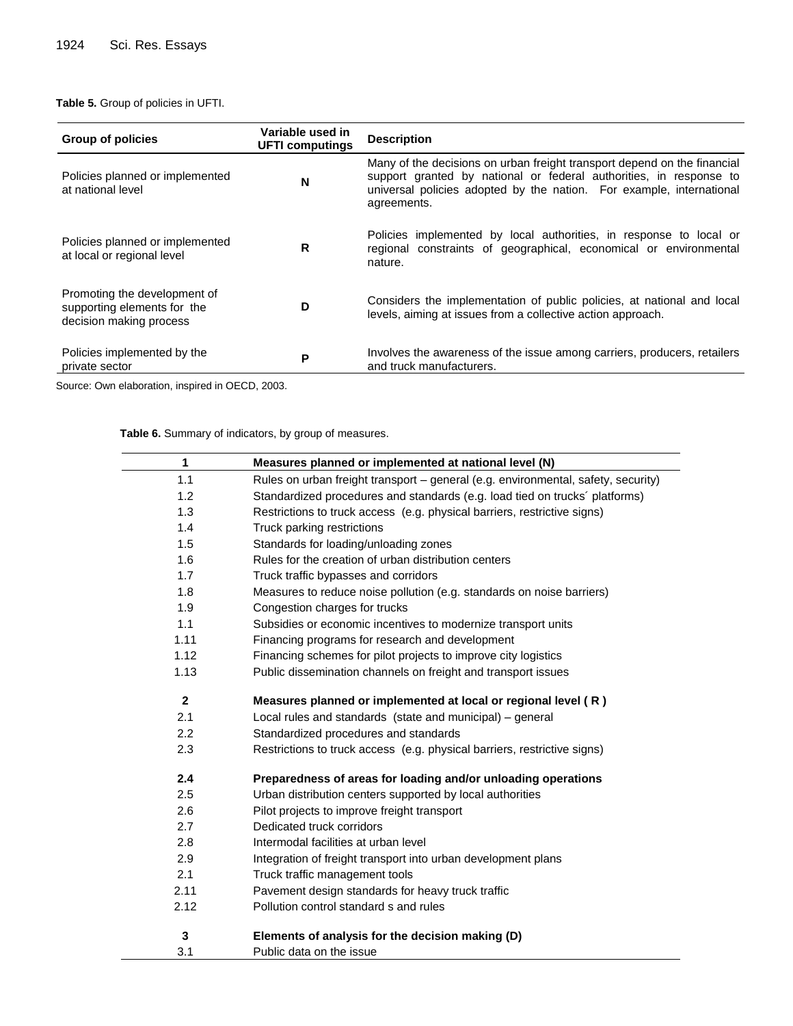# **Table 5.** Group of policies in UFTI.

| <b>Group of policies</b>                                                               | Variable used in<br><b>UFTI computings</b> | <b>Description</b>                                                                                                                                                                                                                    |
|----------------------------------------------------------------------------------------|--------------------------------------------|---------------------------------------------------------------------------------------------------------------------------------------------------------------------------------------------------------------------------------------|
| Policies planned or implemented<br>at national level                                   | N                                          | Many of the decisions on urban freight transport depend on the financial<br>support granted by national or federal authorities, in response to<br>universal policies adopted by the nation. For example, international<br>agreements. |
| Policies planned or implemented<br>at local or regional level                          | R                                          | Policies implemented by local authorities, in response to local or<br>regional constraints of geographical, economical or environmental<br>nature.                                                                                    |
| Promoting the development of<br>supporting elements for the<br>decision making process | D                                          | Considers the implementation of public policies, at national and local<br>levels, aiming at issues from a collective action approach.                                                                                                 |
| Policies implemented by the<br>private sector                                          | P                                          | Involves the awareness of the issue among carriers, producers, retailers<br>and truck manufacturers.                                                                                                                                  |

Source: Own elaboration, inspired in OECD, 2003.

**Table 6.** Summary of indicators, by group of measures.

| $\mathbf{1}$     | Measures planned or implemented at national level (N)                             |
|------------------|-----------------------------------------------------------------------------------|
| 1.1              | Rules on urban freight transport - general (e.g. environmental, safety, security) |
| 1.2              | Standardized procedures and standards (e.g. load tied on trucks' platforms)       |
| 1.3              | Restrictions to truck access (e.g. physical barriers, restrictive signs)          |
| 1.4              | Truck parking restrictions                                                        |
| 1.5              | Standards for loading/unloading zones                                             |
| 1.6              | Rules for the creation of urban distribution centers                              |
| 1.7              | Truck traffic bypasses and corridors                                              |
| 1.8              | Measures to reduce noise pollution (e.g. standards on noise barriers)             |
| 1.9              | Congestion charges for trucks                                                     |
| 1.1              | Subsidies or economic incentives to modernize transport units                     |
| 1.11             | Financing programs for research and development                                   |
| 1.12             | Financing schemes for pilot projects to improve city logistics                    |
| 1.13             | Public dissemination channels on freight and transport issues                     |
| $\mathbf{2}$     | Measures planned or implemented at local or regional level (R)                    |
| 2.1              | Local rules and standards (state and municipal) - general                         |
| $2.2\phantom{0}$ | Standardized procedures and standards                                             |
| 2.3              | Restrictions to truck access (e.g. physical barriers, restrictive signs)          |
| 2.4              | Preparedness of areas for loading and/or unloading operations                     |
| 2.5              | Urban distribution centers supported by local authorities                         |
| 2.6              | Pilot projects to improve freight transport                                       |
| 2.7              | Dedicated truck corridors                                                         |
| 2.8              | Intermodal facilities at urban level                                              |
| 2.9              | Integration of freight transport into urban development plans                     |
| 2.1              | Truck traffic management tools                                                    |
| 2.11             | Pavement design standards for heavy truck traffic                                 |
| 2.12             | Pollution control standard s and rules                                            |
| $\mathbf 3$      | Elements of analysis for the decision making (D)                                  |
| 3.1              | Public data on the issue                                                          |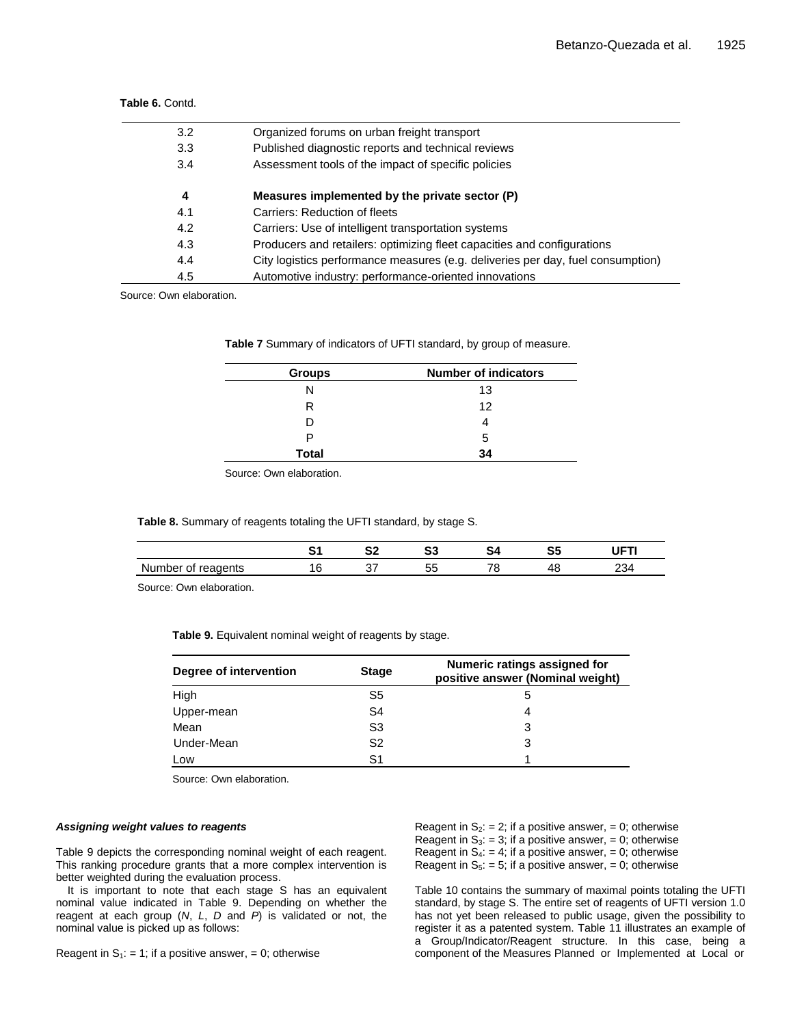| 3.2 | Organized forums on urban freight transport                                     |
|-----|---------------------------------------------------------------------------------|
| 3.3 | Published diagnostic reports and technical reviews                              |
| 3.4 | Assessment tools of the impact of specific policies                             |
| 4   | Measures implemented by the private sector (P)                                  |
| 4.1 | Carriers: Reduction of fleets                                                   |
| 4.2 | Carriers: Use of intelligent transportation systems                             |
| 4.3 | Producers and retailers: optimizing fleet capacities and configurations         |
| 4.4 | City logistics performance measures (e.g. deliveries per day, fuel consumption) |
| 4.5 | Automotive industry: performance-oriented innovations                           |

**Table 6.** Contd.

Source: Own elaboration.

| <b>Groups</b> | <b>Number of indicators</b> |
|---------------|-----------------------------|
| N             | 13                          |
| R             | 12                          |
| ו ו           |                             |
| P             | 5                           |
| <b>Total</b>  | 34                          |

**Table 7** Summary of indicators of UFTI standard, by group of measure.

Source: Own elaboration.

**Table 8.** Summary of reagents totaling the UFTI standard, by stage S.

|               | . . | ~  | ~~ | -                        | $\sim$ | . |
|---------------|-----|----|----|--------------------------|--------|---|
| Νı<br>∖aɑents |     | J. | ື  | $\overline{\phantom{a}}$ | ᠇៶     | ົ |

Source: Own elaboration.

**Table 9.** Equivalent nominal weight of reagents by stage.

| Degree of intervention | <b>Stage</b> | Numeric ratings assigned for<br>positive answer (Nominal weight) |  |  |  |
|------------------------|--------------|------------------------------------------------------------------|--|--|--|
| High                   | S5           | 5                                                                |  |  |  |
| Upper-mean             | S4           | 4                                                                |  |  |  |
| Mean                   | S3           | 3                                                                |  |  |  |
| Under-Mean             | S2           | 3                                                                |  |  |  |
| Low                    | S1           |                                                                  |  |  |  |

Source: Own elaboration.

#### *Assigning weight values to reagents*

Table 9 depicts the corresponding nominal weight of each reagent. This ranking procedure grants that a more complex intervention is better weighted during the evaluation process.

It is important to note that each stage S has an equivalent nominal value indicated in Table 9. Depending on whether the reagent at each group (*N*, *L*, *D* and *P*) is validated or not, the nominal value is picked up as follows:

Reagent in  $S_2$ : = 2; if a positive answer, = 0; otherwise Reagent in  $S_3$ : = 3; if a positive answer, = 0; otherwise Reagent in  $S_4$ : = 4; if a positive answer, = 0; otherwise Reagent in  $S_5$ : = 5; if a positive answer, = 0; otherwise

Table 10 contains the summary of maximal points totaling the UFTI standard, by stage S. The entire set of reagents of UFTI version 1.0 has not yet been released to public usage, given the possibility to register it as a patented system. Table 11 illustrates an example of a Group/Indicator/Reagent structure. In this case, being a component of the Measures Planned or Implemented at Local or

Reagent in  $S_1$ : = 1; if a positive answer, = 0; otherwise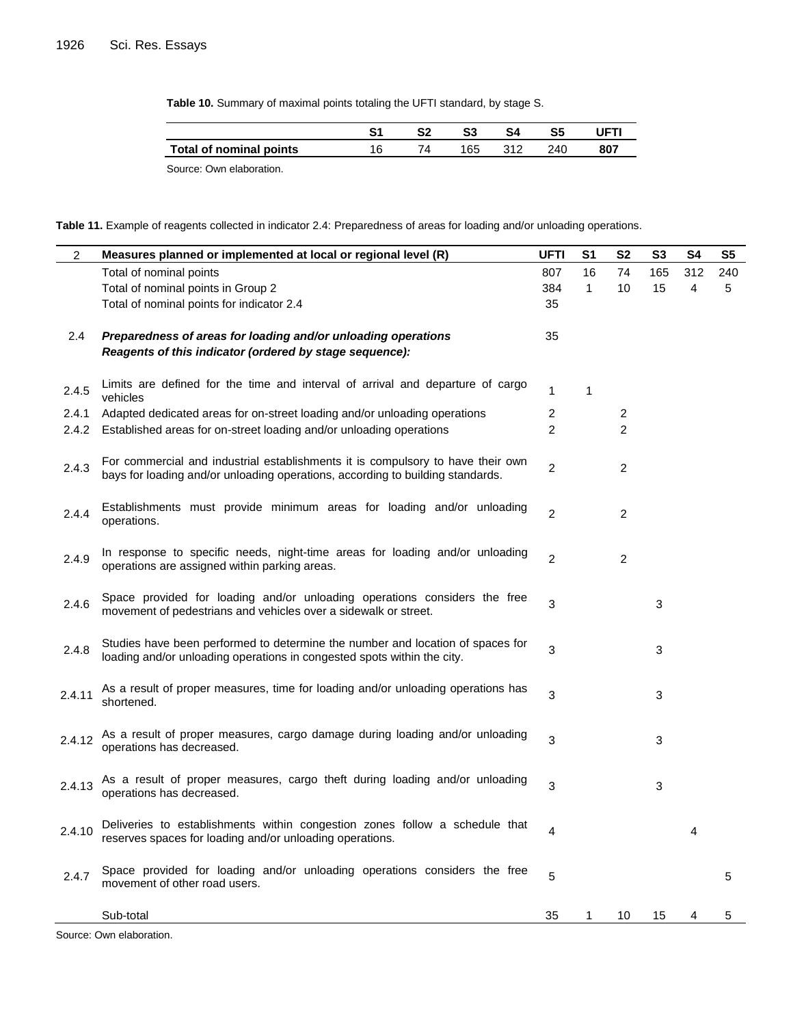**Table 10.** Summary of maximal points totaling the UFTI standard, by stage S.

|                                | ິ | S3  | S4  | S5  | UFTI |
|--------------------------------|---|-----|-----|-----|------|
| <b>Total of nominal points</b> |   | 165 | 312 | 240 | 807  |
|                                |   |     |     |     |      |

Source: Own elaboration.

**Table 11.** Example of reagents collected in indicator 2.4: Preparedness of areas for loading and/or unloading operations.

| $\overline{a}$ | Measures planned or implemented at local or regional level (R)                                             | <b>UFTI</b>    | S <sub>1</sub> | S <sub>2</sub> | S <sub>3</sub> | S4  | S5  |
|----------------|------------------------------------------------------------------------------------------------------------|----------------|----------------|----------------|----------------|-----|-----|
|                | Total of nominal points                                                                                    | 807            | 16             | 74             | 165            | 312 | 240 |
|                | Total of nominal points in Group 2                                                                         | 384            | $\mathbf{1}$   | 10             | 15             | 4   | 5   |
|                | Total of nominal points for indicator 2.4                                                                  | 35             |                |                |                |     |     |
| 2.4            | Preparedness of areas for loading and/or unloading operations                                              | 35             |                |                |                |     |     |
|                | Reagents of this indicator (ordered by stage sequence):                                                    |                |                |                |                |     |     |
|                |                                                                                                            |                |                |                |                |     |     |
| 2.4.5          | Limits are defined for the time and interval of arrival and departure of cargo<br>vehicles                 | $\mathbf{1}$   | $\mathbf{1}$   |                |                |     |     |
| 2.4.1          | Adapted dedicated areas for on-street loading and/or unloading operations                                  | $\overline{c}$ |                | $\overline{c}$ |                |     |     |
| 2.4.2          | Established areas for on-street loading and/or unloading operations                                        | 2              |                | 2              |                |     |     |
|                |                                                                                                            |                |                |                |                |     |     |
| 2.4.3          | For commercial and industrial establishments it is compulsory to have their own                            | $\overline{c}$ |                | $\overline{c}$ |                |     |     |
|                | bays for loading and/or unloading operations, according to building standards.                             |                |                |                |                |     |     |
|                |                                                                                                            |                |                |                |                |     |     |
| 2.4.4          | Establishments must provide minimum areas for loading and/or unloading                                     | $\overline{2}$ |                | $\overline{c}$ |                |     |     |
|                | operations.                                                                                                |                |                |                |                |     |     |
|                | In response to specific needs, night-time areas for loading and/or unloading                               |                |                |                |                |     |     |
| 2.4.9          | operations are assigned within parking areas.                                                              | $\overline{2}$ |                | $\overline{c}$ |                |     |     |
|                |                                                                                                            |                |                |                |                |     |     |
|                | Space provided for loading and/or unloading operations considers the free                                  |                |                |                |                |     |     |
| 2.4.6          | movement of pedestrians and vehicles over a sidewalk or street.                                            | 3              |                |                | 3              |     |     |
|                |                                                                                                            |                |                |                |                |     |     |
| 2.4.8          | Studies have been performed to determine the number and location of spaces for                             | 3              |                |                | 3              |     |     |
|                | loading and/or unloading operations in congested spots within the city.                                    |                |                |                |                |     |     |
|                |                                                                                                            |                |                |                |                |     |     |
| 2.4.11         | As a result of proper measures, time for loading and/or unloading operations has                           | 3              |                |                | 3              |     |     |
|                | shortened.                                                                                                 |                |                |                |                |     |     |
|                | As a result of proper measures, cargo damage during loading and/or unloading                               |                |                |                |                |     |     |
| 2.4.12         | operations has decreased.                                                                                  | 3              |                |                | 3              |     |     |
|                |                                                                                                            |                |                |                |                |     |     |
|                | As a result of proper measures, cargo theft during loading and/or unloading                                |                |                |                |                |     |     |
| 2.4.13         | operations has decreased.                                                                                  | $\sqrt{3}$     |                |                | 3              |     |     |
|                |                                                                                                            |                |                |                |                |     |     |
| 2.4.10         | Deliveries to establishments within congestion zones follow a schedule that                                | 4              |                |                |                | 4   |     |
|                | reserves spaces for loading and/or unloading operations.                                                   |                |                |                |                |     |     |
|                |                                                                                                            |                |                |                |                |     |     |
| 2.4.7          | Space provided for loading and/or unloading operations considers the free<br>movement of other road users. | 5              |                |                |                |     | 5   |
|                |                                                                                                            |                |                |                |                |     |     |
|                | Sub-total                                                                                                  | 35             |                | 10             | 15             |     |     |
|                |                                                                                                            |                |                |                |                |     |     |

Source: Own elaboration.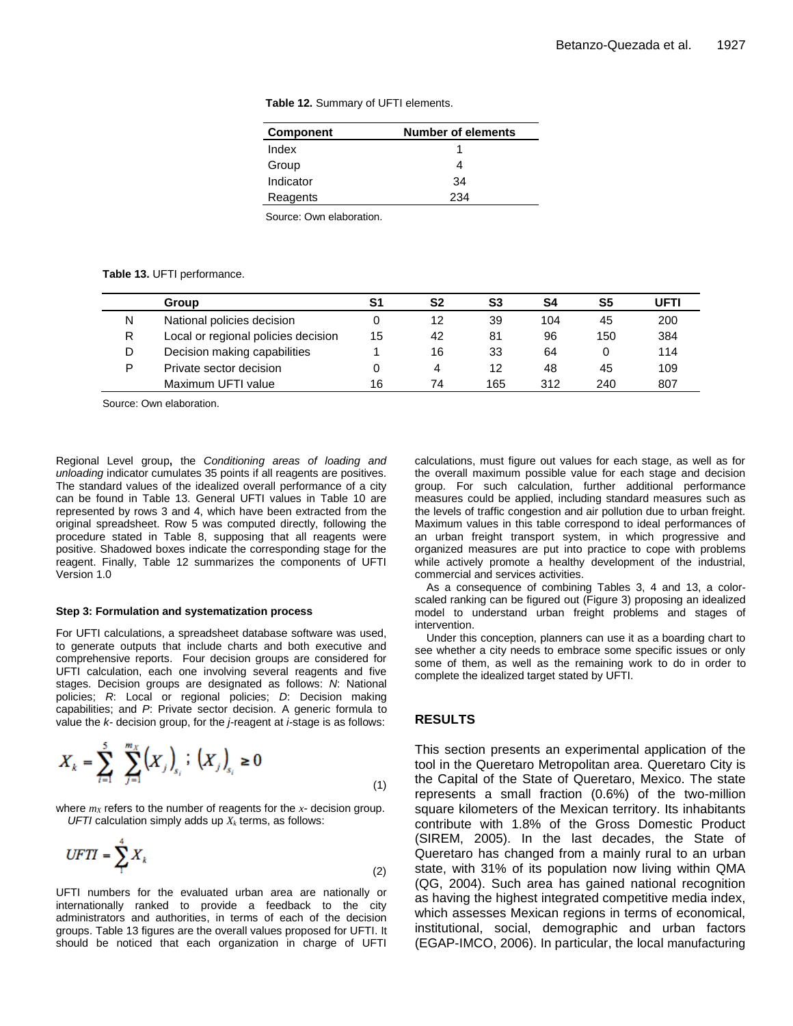|  | Table 12. Summary of UFTI elements. |  |  |
|--|-------------------------------------|--|--|
|--|-------------------------------------|--|--|

| <b>Component</b> | <b>Number of elements</b> |
|------------------|---------------------------|
| Index            |                           |
| Group            |                           |
| Indicator        | 34                        |
| Reagents         | 234                       |

Source: Own elaboration.

**Table 13.** UFTI performance.

|   | Group                               | S1 | S2 | S3  | S4  | S5  | UFTI |
|---|-------------------------------------|----|----|-----|-----|-----|------|
| N | National policies decision          |    | 12 | 39  | 104 | 45  | 200  |
| R | Local or regional policies decision | 15 | 42 | 81  | 96  | 150 | 384  |
| D | Decision making capabilities        |    | 16 | 33  | 64  |     | 114  |
| D | Private sector decision             |    | 4  | 12  | 48  | 45  | 109  |
|   | Maximum UFTI value                  | 16 | 74 | 165 | 312 | 240 | 807  |

Source: Own elaboration.

Regional Level group**,** the *Conditioning areas of loading and unloading* indicator cumulates 35 points if all reagents are positives. The standard values of the idealized overall performance of a city can be found in Table 13. General UFTI values in Table 10 are represented by rows 3 and 4, which have been extracted from the original spreadsheet. Row 5 was computed directly, following the procedure stated in Table 8, supposing that all reagents were positive. Shadowed boxes indicate the corresponding stage for the reagent. Finally, Table 12 summarizes the components of UFTI Version 1.0

#### **Step 3: Formulation and systematization process**

For UFTI calculations, a spreadsheet database software was used, to generate outputs that include charts and both executive and comprehensive reports. Four decision groups are considered for UFTI calculation, each one involving several reagents and five stages. Decision groups are designated as follows: *N*: National policies; *R*: Local or regional policies; *D*: Decision making capabilities; and *P*: Private sector decision. A generic formula to value the *k-* decision group, for the *j-*reagent at *i-*stage is as follows:

$$
X_k = \sum_{i=1}^s \sum_{j=1}^{m_X} \left( X_j \right)_{s_i} ; \left( X_j \right)_{s_i} \ge 0 \tag{1}
$$

where  $m_X$  refers to the number of reagents for the  $x$ - decision group. *UFTI* calculation simply adds up *X<sup>k</sup>* terms, as follows:

$$
UFTI = \sum_{1}^{4} X_k \tag{2}
$$

UFTI numbers for the evaluated urban area are nationally or internationally ranked to provide a feedback to the city administrators and authorities, in terms of each of the decision groups. Table 13 figures are the overall values proposed for UFTI. It should be noticed that each organization in charge of UFTI

calculations, must figure out values for each stage, as well as for the overall maximum possible value for each stage and decision group. For such calculation, further additional performance measures could be applied, including standard measures such as the levels of traffic congestion and air pollution due to urban freight. Maximum values in this table correspond to ideal performances of an urban freight transport system, in which progressive and organized measures are put into practice to cope with problems while actively promote a healthy development of the industrial, commercial and services activities.

As a consequence of combining Tables 3, 4 and 13, a colorscaled ranking can be figured out (Figure 3) proposing an idealized model to understand urban freight problems and stages of intervention.

Under this conception, planners can use it as a boarding chart to see whether a city needs to embrace some specific issues or only some of them, as well as the remaining work to do in order to complete the idealized target stated by UFTI.

## **RESULTS**

This section presents an experimental application of the tool in the Queretaro Metropolitan area. Queretaro City is the Capital of the State of Queretaro, Mexico. The state represents a small fraction (0.6%) of the two-million square kilometers of the Mexican territory. Its inhabitants contribute with 1.8% of the Gross Domestic Product (SIREM, 2005). In the last decades, the State of Queretaro has changed from a mainly rural to an urban state, with 31% of its population now living within QMA (QG, 2004). Such area has gained national recognition as having the highest integrated competitive media index, which assesses Mexican regions in terms of economical, institutional, social, demographic and urban factors (EGAP-IMCO, 2006). In particular, the local manufacturing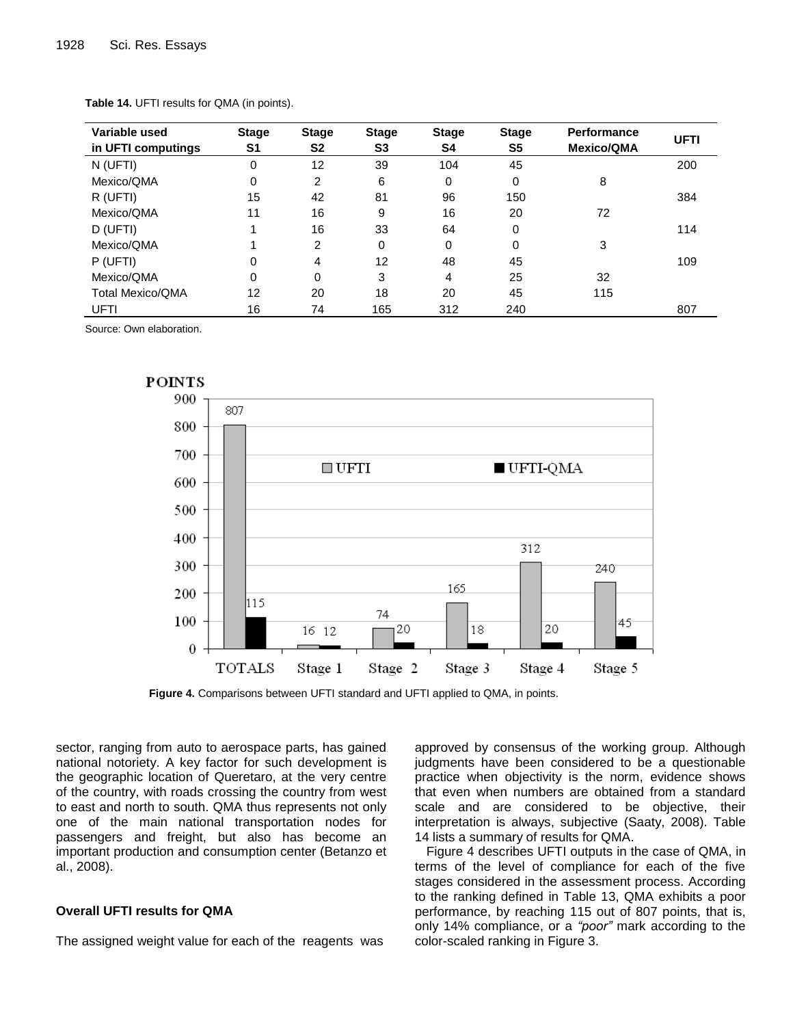| Variable used<br>in UFTI computings | <b>Stage</b><br>S1 | <b>Stage</b><br>S <sub>2</sub> | <b>Stage</b><br>S <sub>3</sub> | <b>Stage</b><br>S4 | <b>Stage</b><br>S <sub>5</sub> | <b>Performance</b><br><b>Mexico/QMA</b> | <b>UFTI</b> |
|-------------------------------------|--------------------|--------------------------------|--------------------------------|--------------------|--------------------------------|-----------------------------------------|-------------|
| N (UFTI)                            | 0                  | 12                             | 39                             | 104                | 45                             |                                         | 200         |
| Mexico/QMA                          | 0                  | 2                              | 6                              | 0                  | 0                              | 8                                       |             |
| R (UFTI)                            | 15                 | 42                             | 81                             | 96                 | 150                            |                                         | 384         |
| Mexico/QMA                          | 11                 | 16                             | 9                              | 16                 | 20                             | 72                                      |             |
| D (UFTI)                            |                    | 16                             | 33                             | 64                 | 0                              |                                         | 114         |
| Mexico/QMA                          |                    | 2                              | 0                              | $\Omega$           | 0                              | 3                                       |             |
| P (UFTI)                            | 0                  | 4                              | 12                             | 48                 | 45                             |                                         | 109         |
| Mexico/QMA                          | 0                  | 0                              | 3                              | 4                  | 25                             | 32                                      |             |
| <b>Total Mexico/QMA</b>             | 12                 | 20                             | 18                             | 20                 | 45                             | 115                                     |             |
| UFTI                                | 16                 | 74                             | 165                            | 312                | 240                            |                                         | 807         |

**Table 14.** UFTI results for QMA (in points).

Source: Own elaboration.



**Figure 4.** Comparisons between UFTI standard and UFTI applied to QMA, in points.

sector, ranging from auto to aerospace parts, has gained national notoriety. A key factor for such development is the geographic location of Queretaro, at the very centre of the country, with roads crossing the country from west to east and north to south. QMA thus represents not only one of the main national transportation nodes for passengers and freight, but also has become an important production and consumption center (Betanzo et al., 2008).

# **Overall UFTI results for QMA**

The assigned weight value for each of the reagents was

approved by consensus of the working group. Although judgments have been considered to be a questionable practice when objectivity is the norm, evidence shows that even when numbers are obtained from a standard scale and are considered to be objective, their interpretation is always, subjective (Saaty, 2008). Table 14 lists a summary of results for QMA.

Figure 4 describes UFTI outputs in the case of QMA, in terms of the level of compliance for each of the five stages considered in the assessment process. According to the ranking defined in Table 13, QMA exhibits a poor performance, by reaching 115 out of 807 points, that is, only 14% compliance, or a *"poor"* mark according to the color-scaled ranking in Figure 3.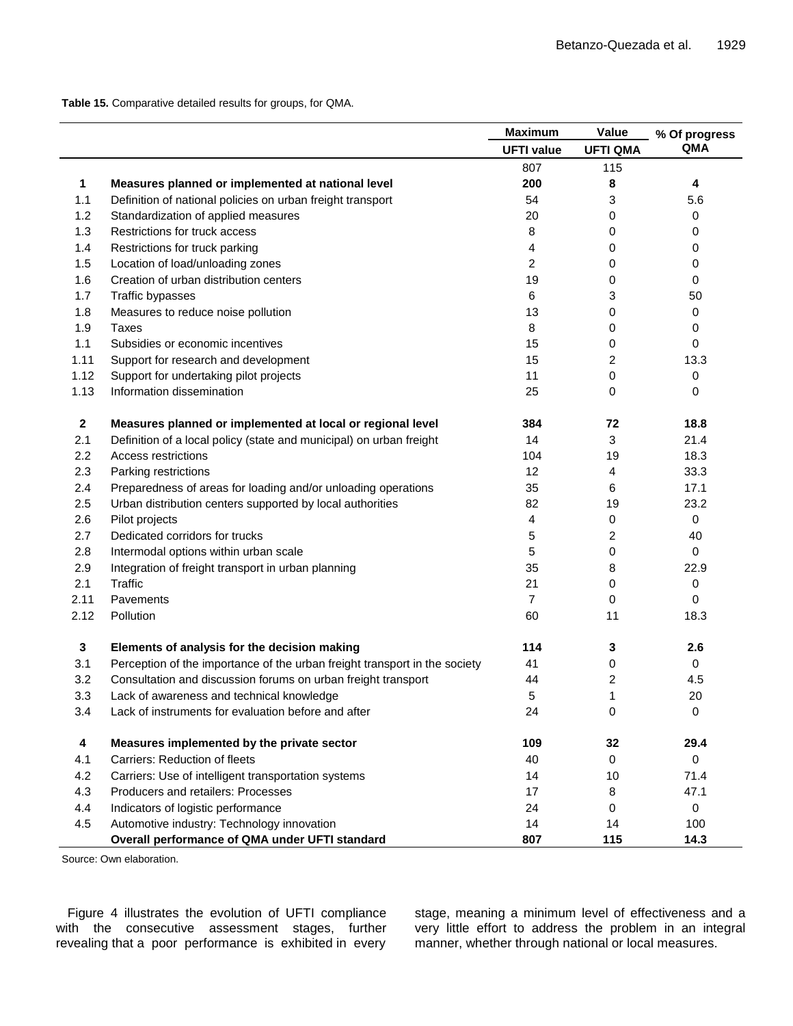**Table 15.** Comparative detailed results for groups, for QMA.

|              |                                                                            | <b>Maximum</b>    | Value           | % Of progress |
|--------------|----------------------------------------------------------------------------|-------------------|-----------------|---------------|
|              |                                                                            | <b>UFTI value</b> | <b>UFTI QMA</b> | QMA           |
|              |                                                                            | 807               | 115             |               |
| 1            | Measures planned or implemented at national level                          | 200               | 8               | 4             |
| 1.1          | Definition of national policies on urban freight transport                 | 54                | 3               | 5.6           |
| 1.2          | Standardization of applied measures                                        | 20                | 0               | 0             |
| 1.3          | Restrictions for truck access                                              | 8                 | 0               | 0             |
| 1.4          | Restrictions for truck parking                                             | 4                 | 0               | 0             |
| 1.5          | Location of load/unloading zones                                           | 2                 | 0               | 0             |
| 1.6          | Creation of urban distribution centers                                     | 19                | 0               | 0             |
| 1.7          | Traffic bypasses                                                           | 6                 | 3               | 50            |
| 1.8          | Measures to reduce noise pollution                                         | 13                | 0               | 0             |
| 1.9          | <b>Taxes</b>                                                               | 8                 | 0               | 0             |
| 1.1          | Subsidies or economic incentives                                           | 15                | 0               | 0             |
| 1.11         | Support for research and development                                       | 15                | 2               | 13.3          |
| 1.12         | Support for undertaking pilot projects                                     | 11                | 0               | 0             |
| 1.13         | Information dissemination                                                  | 25                | 0               | 0             |
| $\mathbf{2}$ | Measures planned or implemented at local or regional level                 | 384               | 72              | 18.8          |
| 2.1          | Definition of a local policy (state and municipal) on urban freight        | 14                | 3               | 21.4          |
| 2.2          | Access restrictions                                                        | 104               | 19              | 18.3          |
| 2.3          | Parking restrictions                                                       | 12                | 4               | 33.3          |
| 2.4          | Preparedness of areas for loading and/or unloading operations              | 35                | 6               | 17.1          |
| 2.5          | Urban distribution centers supported by local authorities                  | 82                | 19              | 23.2          |
| 2.6          | Pilot projects                                                             | 4                 | 0               | 0             |
| 2.7          | Dedicated corridors for trucks                                             | 5                 | 2               | 40            |
| 2.8          | Intermodal options within urban scale                                      | 5                 | 0               | $\mathbf 0$   |
| 2.9          | Integration of freight transport in urban planning                         | 35                | 8               | 22.9          |
| 2.1          | Traffic                                                                    | 21                | 0               | 0             |
| 2.11         | Pavements                                                                  | $\overline{7}$    | 0               | 0             |
| 2.12         | Pollution                                                                  | 60                | 11              | 18.3          |
| 3            | Elements of analysis for the decision making                               | 114               | 3               | 2.6           |
| 3.1          | Perception of the importance of the urban freight transport in the society | 41                | 0               | $\mathbf 0$   |
| 3.2          | Consultation and discussion forums on urban freight transport              | 44                | 2               | 4.5           |
| 3.3          | Lack of awareness and technical knowledge                                  | 5                 | 1               | 20            |
| 3.4          | Lack of instruments for evaluation before and after                        | 24                | 0               | 0             |
| 4            | Measures implemented by the private sector                                 | 109               | 32              | 29.4          |
| 4.1          | Carriers: Reduction of fleets                                              | 40                | 0               | $\mathbf 0$   |
| 4.2          | Carriers: Use of intelligent transportation systems                        | 14                | 10              | 71.4          |
| 4.3          | Producers and retailers: Processes                                         | 17                | 8               | 47.1          |
| 4.4          | Indicators of logistic performance                                         | 24                | 0               | 0             |
| 4.5          | Automotive industry: Technology innovation                                 | 14                | 14              | 100           |
|              | Overall performance of QMA under UFTI standard                             | 807               | 115             | 14.3          |

Source: Own elaboration.

Figure 4 illustrates the evolution of UFTI compliance with the consecutive assessment stages, further revealing that a poor performance is exhibited in every

stage, meaning a minimum level of effectiveness and a very little effort to address the problem in an integral manner, whether through national or local measures.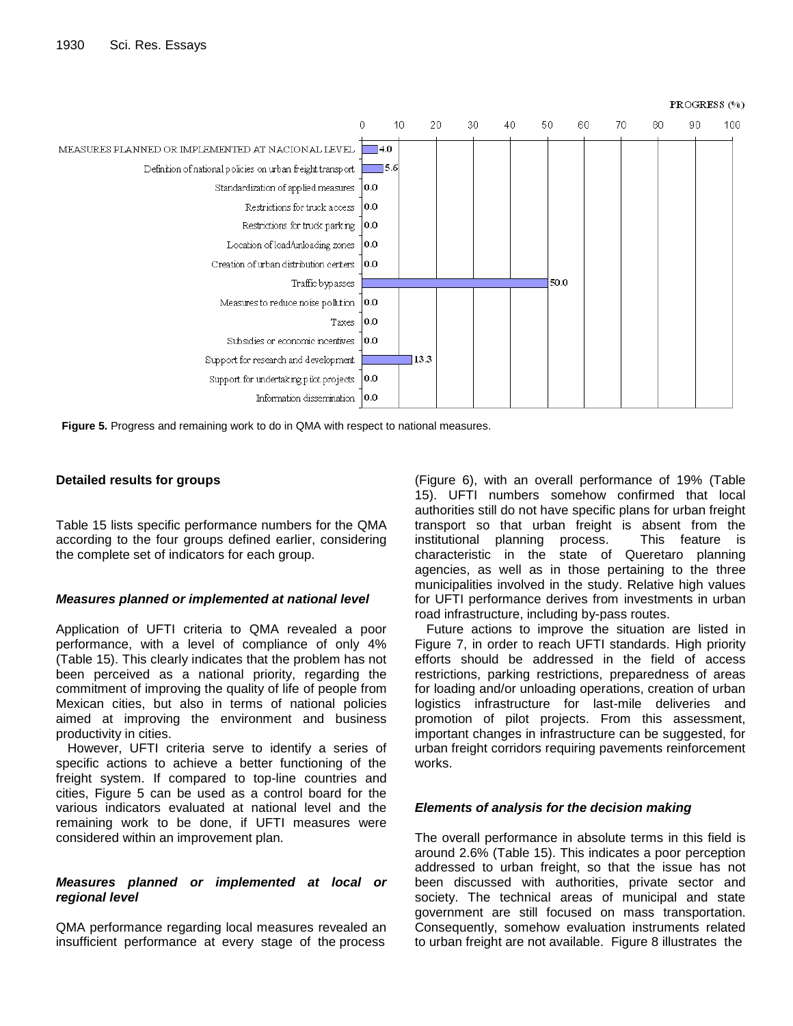#### PROGRESS (%)



**Figure 5.** Progress and remaining work to do in QMA with respect to national measures.

# **Detailed results for groups**

Table 15 lists specific performance numbers for the QMA according to the four groups defined earlier, considering the complete set of indicators for each group.

## *Measures planned or implemented at national level*

Application of UFTI criteria to QMA revealed a poor performance, with a level of compliance of only 4% (Table 15). This clearly indicates that the problem has not been perceived as a national priority, regarding the commitment of improving the quality of life of people from Mexican cities, but also in terms of national policies aimed at improving the environment and business productivity in cities.

However, UFTI criteria serve to identify a series of specific actions to achieve a better functioning of the freight system. If compared to top-line countries and cities, Figure 5 can be used as a control board for the various indicators evaluated at national level and the remaining work to be done, if UFTI measures were considered within an improvement plan.

# *Measures planned or implemented at local or regional level*

QMA performance regarding local measures revealed an insufficient performance at every stage of the process

(Figure 6), with an overall performance of 19% (Table 15). UFTI numbers somehow confirmed that local authorities still do not have specific plans for urban freight transport so that urban freight is absent from the institutional planning process. This feature is characteristic in the state of Queretaro planning agencies, as well as in those pertaining to the three municipalities involved in the study. Relative high values for UFTI performance derives from investments in urban road infrastructure, including by-pass routes.

Future actions to improve the situation are listed in Figure 7, in order to reach UFTI standards. High priority efforts should be addressed in the field of access restrictions, parking restrictions, preparedness of areas for loading and/or unloading operations, creation of urban logistics infrastructure for last-mile deliveries and promotion of pilot projects. From this assessment, important changes in infrastructure can be suggested, for urban freight corridors requiring pavements reinforcement works.

## *Elements of analysis for the decision making*

The overall performance in absolute terms in this field is around 2.6% (Table 15). This indicates a poor perception addressed to urban freight, so that the issue has not been discussed with authorities, private sector and society. The technical areas of municipal and state government are still focused on mass transportation. Consequently, somehow evaluation instruments related to urban freight are not available. Figure 8 illustrates the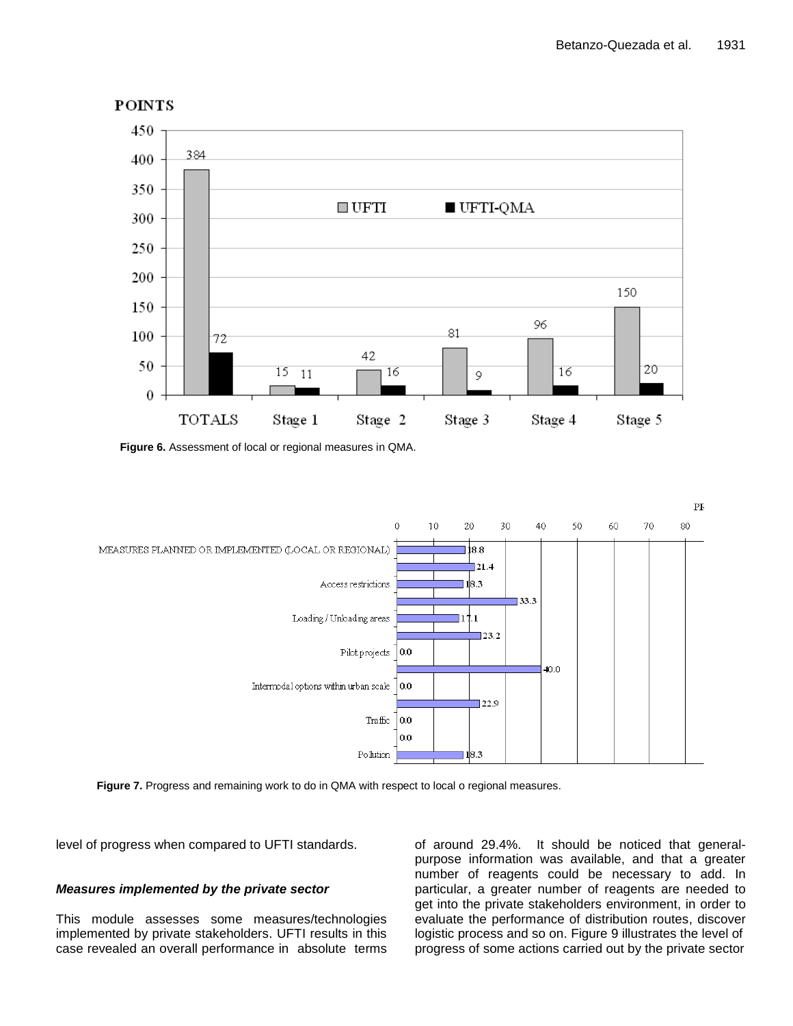

**POINTS** 





**Figure 7.** Progress and remaining work to do in QMA with respect to local o regional measures.

level of progress when compared to UFTI standards.

## *Measures implemented by the private sector*

This module assesses some measures/technologies implemented by private stakeholders. UFTI results in this case revealed an overall performance in absolute terms of around 29.4%. It should be noticed that generalpurpose information was available, and that a greater number of reagents could be necessary to add. In particular, a greater number of reagents are needed to get into the private stakeholders environment, in order to evaluate the performance of distribution routes, discover logistic process and so on. Figure 9 illustrates the level of progress of some actions carried out by the private sector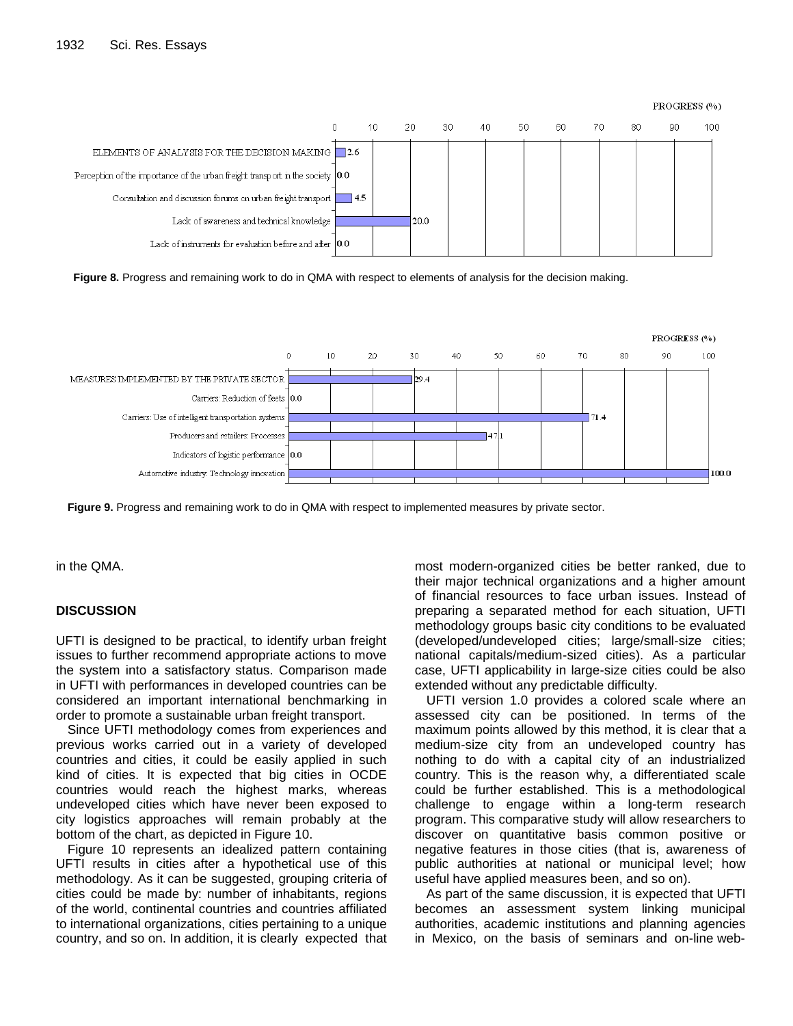

**Figure 8.** Progress and remaining work to do in QMA with respect to elements of analysis for the decision making.



**Figure 9.** Progress and remaining work to do in QMA with respect to implemented measures by private sector.

in the QMA.

# **DISCUSSION**

UFTI is designed to be practical, to identify urban freight issues to further recommend appropriate actions to move the system into a satisfactory status. Comparison made in UFTI with performances in developed countries can be considered an important international benchmarking in order to promote a sustainable urban freight transport.

Since UFTI methodology comes from experiences and previous works carried out in a variety of developed countries and cities, it could be easily applied in such kind of cities. It is expected that big cities in OCDE countries would reach the highest marks, whereas undeveloped cities which have never been exposed to city logistics approaches will remain probably at the bottom of the chart, as depicted in Figure 10.

Figure 10 represents an idealized pattern containing UFTI results in cities after a hypothetical use of this methodology. As it can be suggested, grouping criteria of cities could be made by: number of inhabitants, regions of the world, continental countries and countries affiliated to international organizations, cities pertaining to a unique country, and so on. In addition, it is clearly expected that most modern-organized cities be better ranked, due to their major technical organizations and a higher amount of financial resources to face urban issues. Instead of preparing a separated method for each situation, UFTI methodology groups basic city conditions to be evaluated (developed/undeveloped cities; large/small-size cities; national capitals/medium-sized cities). As a particular case, UFTI applicability in large-size cities could be also extended without any predictable difficulty.

UFTI version 1.0 provides a colored scale where an assessed city can be positioned. In terms of the maximum points allowed by this method, it is clear that a medium-size city from an undeveloped country has nothing to do with a capital city of an industrialized country. This is the reason why, a differentiated scale could be further established. This is a methodological challenge to engage within a long-term research program. This comparative study will allow researchers to discover on quantitative basis common positive or negative features in those cities (that is, awareness of public authorities at national or municipal level; how useful have applied measures been, and so on).

As part of the same discussion, it is expected that UFTI becomes an assessment system linking municipal authorities, academic institutions and planning agencies in Mexico, on the basis of seminars and on-line web-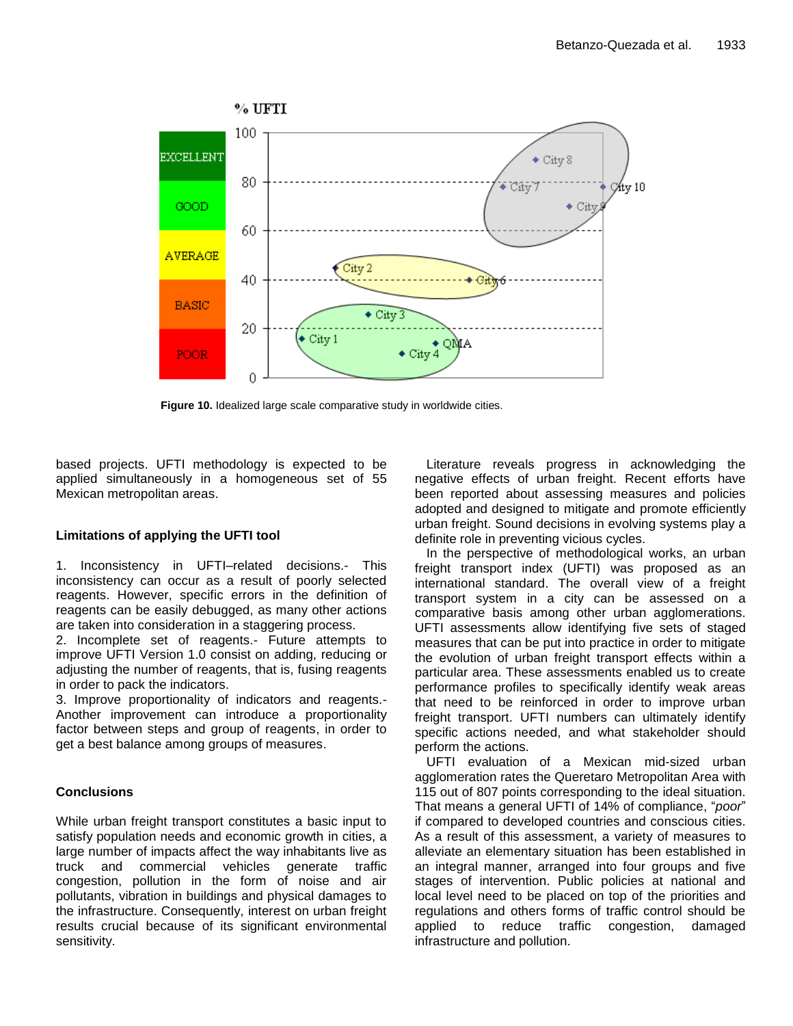

**Figure 10.** Idealized large scale comparative study in worldwide cities. **Figure 10.** Idealized large scale comparative study in worldwide cities.

based projects. UFTI methodology is expected to be applied simultaneously in a homogeneous set of 55 Mexican metropolitan areas.

# **Limitations of applying the UFTI tool**

1. Inconsistency in UFTI–related decisions.- This inconsistency can occur as a result of poorly selected reagents. However, specific errors in the definition of reagents can be easily debugged, as many other actions are taken into consideration in a staggering process.

2. Incomplete set of reagents.- Future attempts to improve UFTI Version 1.0 consist on adding, reducing or adjusting the number of reagents, that is, fusing reagents in order to pack the indicators.

3. Improve proportionality of indicators and reagents.- Another improvement can introduce a proportionality factor between steps and group of reagents, in order to get a best balance among groups of measures.

# **Conclusions**

While urban freight transport constitutes a basic input to satisfy population needs and economic growth in cities, a large number of impacts affect the way inhabitants live as truck and commercial vehicles generate traffic congestion, pollution in the form of noise and air pollutants, vibration in buildings and physical damages to the infrastructure. Consequently, interest on urban freight results crucial because of its significant environmental sensitivity.

Literature reveals progress in acknowledging the negative effects of urban freight. Recent efforts have been reported about assessing measures and policies adopted and designed to mitigate and promote efficiently urban freight. Sound decisions in evolving systems play a definite role in preventing vicious cycles.

In the perspective of methodological works, an urban freight transport index (UFTI) was proposed as an international standard. The overall view of a freight transport system in a city can be assessed on a comparative basis among other urban agglomerations. UFTI assessments allow identifying five sets of staged measures that can be put into practice in order to mitigate the evolution of urban freight transport effects within a particular area. These assessments enabled us to create performance profiles to specifically identify weak areas that need to be reinforced in order to improve urban freight transport. UFTI numbers can ultimately identify specific actions needed, and what stakeholder should perform the actions.

UFTI evaluation of a Mexican mid-sized urban agglomeration rates the Queretaro Metropolitan Area with 115 out of 807 points corresponding to the ideal situation. That means a general UFTI of 14% of compliance, "*poor*" if compared to developed countries and conscious cities. As a result of this assessment, a variety of measures to alleviate an elementary situation has been established in an integral manner, arranged into four groups and five stages of intervention. Public policies at national and local level need to be placed on top of the priorities and regulations and others forms of traffic control should be applied to reduce traffic congestion, damaged infrastructure and pollution.